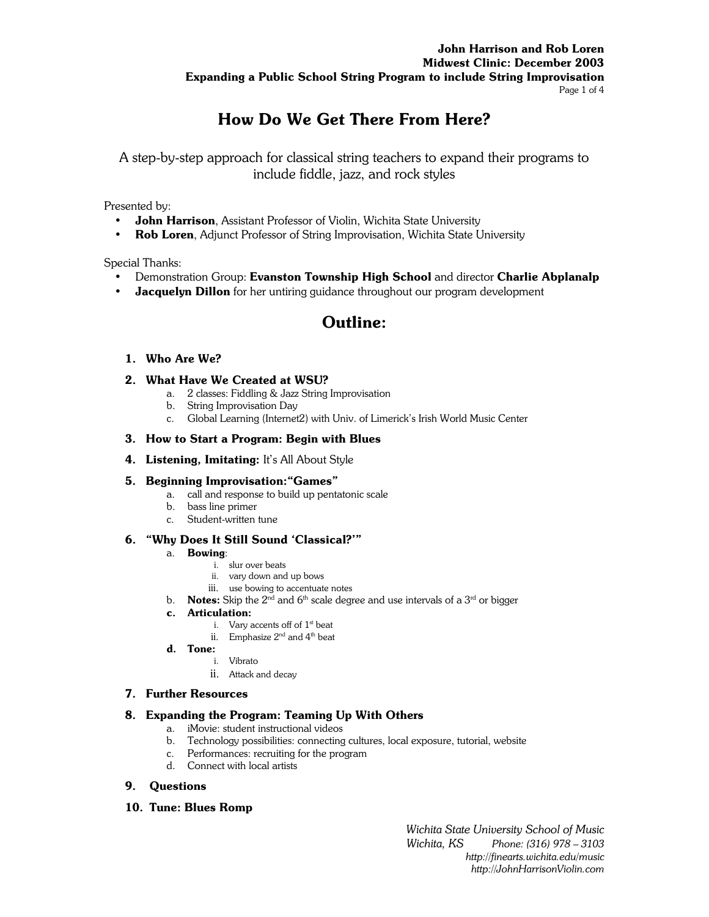# **John Harrison and Rob Loren Midwest Clinic: December 2003 Expanding a Public School String Program to include String Improvisation**  Page 1 of 4

# **How Do We Get There From Here?**

A step-by-step approach for classical string teachers to expand their programs to include fiddle, jazz, and rock styles

Presented by:

- **John Harrison**, Assistant Professor of Violin, Wichita State University
- **Rob Loren**, Adjunct Professor of String Improvisation, Wichita State University

Special Thanks:

- Demonstration Group: **Evanston Township High School** and director **Charlie Abplanalp**
- **Jacquelyn Dillon** for her untiring guidance throughout our program development

# **Outline:**

# **1. Who Are We?**

# **2. What Have We Created at WSU?**

- a. 2 classes: Fiddling & Jazz String Improvisation
- b. String Improvisation Day
- c. Global Learning (Internet2) with Univ. of Limerick's Irish World Music Center

### **3. How to Start a Program: Begin with Blues**

**4. Listening, Imitating:** It's All About Style

### **5. Beginning Improvisation:"Games"**

- a. call and response to build up pentatonic scale
- b. bass line primer
- c. Student-written tune

# **6. "Why Does It Still Sound 'Classical?'"**

### a. **Bowing**:

- i. slur over beats
- ii. vary down and up bows
- iii. use bowing to accentuate notes
- b. **Notes:** Skip the  $2^{nd}$  and  $6^{th}$  scale degree and use intervals of a  $3^{rd}$  or bigger

### **c. Articulation:**

- i. Vary accents off of 1<sup>st</sup> beat
- ii. Emphasize  $2^{nd}$  and  $4^{th}$  beat
- **d. Tone:** 
	- i. Vibrato
	- ii. Attack and decay

### **7. Further Resources**

### **8. Expanding the Program: Teaming Up With Others**

- a. iMovie: student instructional videos
- b. Technology possibilities: connecting cultures, local exposure, tutorial, website
- c. Performances: recruiting for the program
- d. Connect with local artists

# **9. Questions**

### **10. Tune: Blues Romp**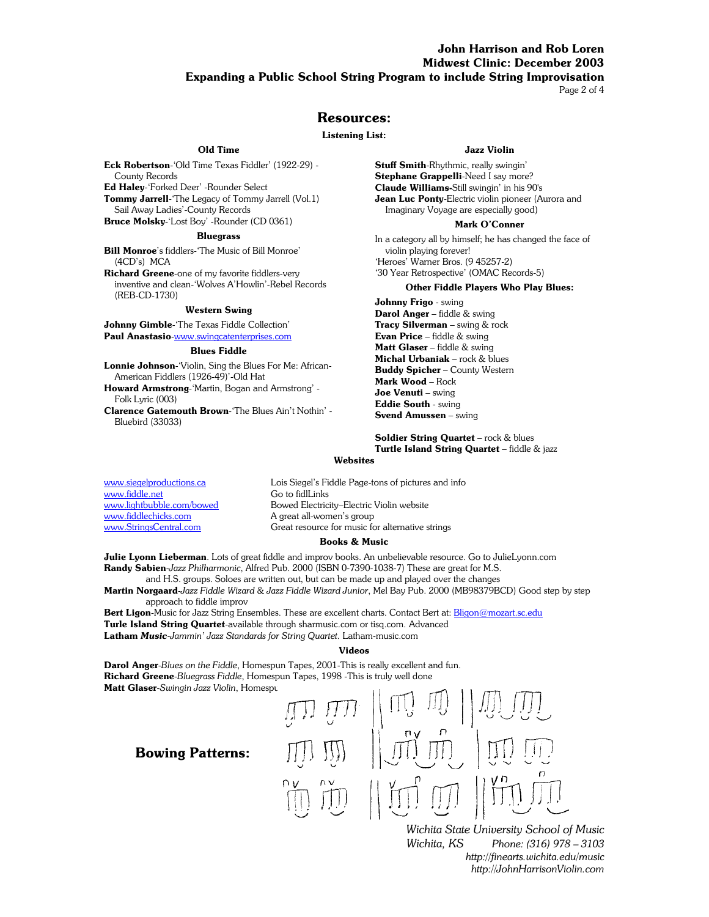# **John Harrison and Rob Loren Midwest Clinic: December 2003 Expanding a Public School String Program to include String Improvisation**

Page 2 of 4

### **Resources:**

#### **Listening List:**

#### **Old Time**

**Eck Robertson**-'Old Time Texas Fiddler' (1922-29) - County Records

**Ed Haley**-'Forked Deer' -Rounder Select

**Tommy Jarrell**-'The Legacy of Tommy Jarrell (Vol.1) Sail Away Ladies'-County Records

**Bruce Molsky**-'Lost Boy' -Rounder (CD 0361)

#### **Bluegrass**

**Bill Monroe**'s fiddlers-'The Music of Bill Monroe' (4CD's) MCA

**Richard Greene**-one of my favorite fiddlers-very inventive and clean-'Wolves A'Howlin'-Rebel Records (REB-CD-1730)

#### **Western Swing**

**Johnny Gimble**-'The Texas Fiddle Collection' **Paul Anastasio**-www.swingcatenterprises.com

#### **Blues Fiddle**

**Lonnie Johnson**-'Violin, Sing the Blues For Me: African-American Fiddlers (1926-49)'-Old Hat

**Howard Armstrong**-'Martin, Bogan and Armstrong' - Folk Lyric (003)

**Clarence Gatemouth Brown**-'The Blues Ain't Nothin' - Bluebird (33033)

#### **Jazz Violin**

**Stuff Smith**-Rhythmic, really swingin' **Stephane Grappelli**-Need I say more? **Claude Williams-**Still swingin' in his 90's **Jean Luc Ponty**-Electric violin pioneer (Aurora and Imaginary Voyage are especially good)

#### **Mark O'Conner**

In a category all by himself; he has changed the face of violin playing forever! 'Heroes' Warner Bros. (9 45257-2) '30 Year Retrospective' (OMAC Records-5)

#### **Other Fiddle Players Who Play Blues:**

**Johnny Frigo** - swing **Darol Anger** – fiddle & swing **Tracy Silverman** – swing & rock **Evan Price** – fiddle & swing **Matt Glaser** – fiddle & swing **Michal Urbaniak** – rock & blues **Buddy Spicher** – County Western **Mark Wood** – Rock **Joe Venuti** – swing **Eddie South** - swing **Svend Amussen** – swing

**Soldier String Quartet** – rock & blues **Turtle Island String Quartet** – fiddle & jazz

#### **Websites**

www.fiddle.net Go to fidlLinks www.fiddlechicks.com A great all-women's group

www.siegelproductions.ca Cois Siegel's Fiddle Page-tons of pictures and info www.lightbubble.com/bowed Bowed Electricity–Electric Violin website www.StringsCentral.com Great resource for music for alternative strings

#### **Books & Music**

**Julie Lyonn Lieberman**. Lots of great fiddle and improv books. An unbelievable resource. Go to JulieLyonn.com **Randy Sabien**-*Jazz Philharmonic*, Alfred Pub. 2000 (ISBN 0-7390-1038-7) These are great for M.S.

 and H.S. groups. Soloes are written out, but can be made up and played over the changes **Martin Norgaard**-*Jazz Fiddle Wizard* & *Jazz Fiddle Wizard Junior*, Mel Bay Pub. 2000 (MB98379BCD) Good step by step

approach to fiddle improv **Bert Ligon**-Music for Jazz String Ensembles. These are excellent charts. Contact Bert at: Bligon@mozart.sc.edu **Turle Island String Quartet**-available through sharmusic.com or tisq.com. Advanced **Latham** *Music-Jammin' Jazz Standards for String Quartet.* Latham-music.com

#### **Videos**

**Darol Anger**-*Blues on the Fiddle*, Homespun Tapes, 2001-This is really excellent and fun. **Richard Greene**-*Bluegrass Fiddle*, Homespun Tapes, 1998 -This is truly well done **Matt Glaser**-Swingin Jazz Violin, Homespu

# **Bowing Patterns:**



 *Wichita State University School of Music Wichita, KS Phone: (316) 978 – 3103 http://finearts.wichita.edu/music http://JohnHarrisonViolin.com*